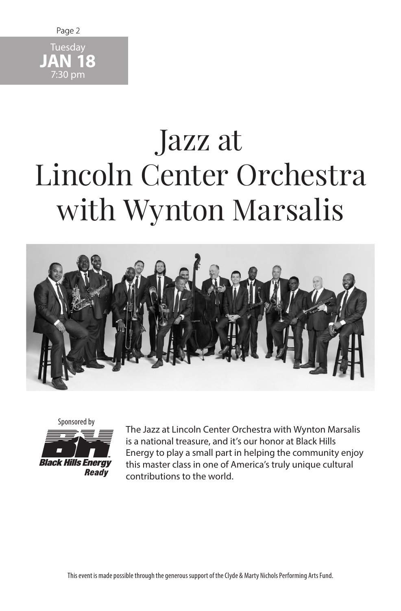

## Jazz at Lincoln Center Orchestra with Wynton Marsalis





The Jazz at Lincoln Center Orchestra with Wynton Marsalis is a national treasure, and it's our honor at Black Hills Energy to play a small part in helping the community enjoy this master class in one of America's truly unique cultural contributions to the world.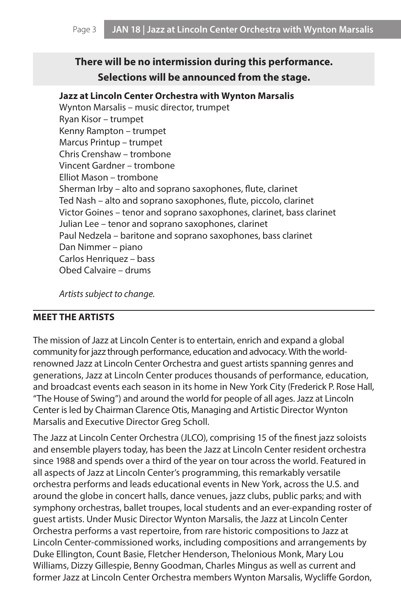## **There will be no intermission during this performance. Selections will be announced from the stage.**

## **Jazz at Lincoln Center Orchestra with Wynton Marsalis**

Wynton Marsalis – music director, trumpet Ryan Kisor – trumpet Kenny Rampton – trumpet Marcus Printup – trumpet Chris Crenshaw – trombone Vincent Gardner – trombone Elliot Mason – trombone Sherman Irby – alto and soprano saxophones, flute, clarinet Ted Nash – alto and soprano saxophones, flute, piccolo, clarinet Victor Goines – tenor and soprano saxophones, clarinet, bass clarinet Julian Lee – tenor and soprano saxophones, clarinet Paul Nedzela – baritone and soprano saxophones, bass clarinet Dan Nimmer – piano Carlos Henriquez – bass Obed Calvaire – drums

*Artists subject to change.*

## **MEET THE ARTISTS**

The mission of Jazz at Lincoln Center is to entertain, enrich and expand a global community for jazz through performance, education and advocacy. With the worldrenowned Jazz at Lincoln Center Orchestra and guest artists spanning genres and generations, Jazz at Lincoln Center produces thousands of performance, education, and broadcast events each season in its home in New York City (Frederick P. Rose Hall, "The House of Swing") and around the world for people of all ages. Jazz at Lincoln Center is led by Chairman Clarence Otis, Managing and Artistic Director Wynton Marsalis and Executive Director Greg Scholl.

The Jazz at Lincoln Center Orchestra (JLCO), comprising 15 of the finest jazz soloists and ensemble players today, has been the Jazz at Lincoln Center resident orchestra since 1988 and spends over a third of the year on tour across the world. Featured in all aspects of Jazz at Lincoln Center's programming, this remarkably versatile orchestra performs and leads educational events in New York, across the U.S. and around the globe in concert halls, dance venues, jazz clubs, public parks; and with symphony orchestras, ballet troupes, local students and an ever-expanding roster of guest artists. Under Music Director Wynton Marsalis, the Jazz at Lincoln Center Orchestra performs a vast repertoire, from rare historic compositions to Jazz at Lincoln Center-commissioned works, including compositions and arrangements by Duke Ellington, Count Basie, Fletcher Henderson, Thelonious Monk, Mary Lou Williams, Dizzy Gillespie, Benny Goodman, Charles Mingus as well as current and former Jazz at Lincoln Center Orchestra members Wynton Marsalis, Wycliffe Gordon,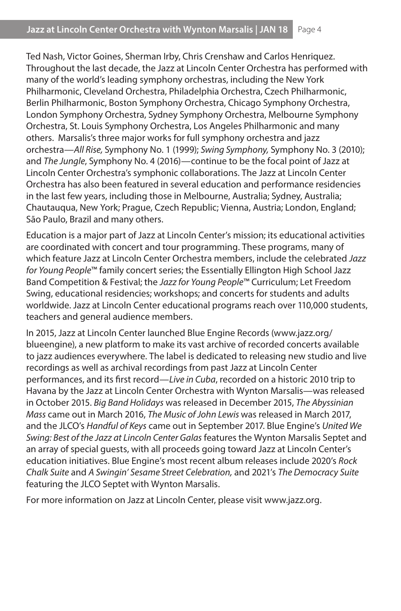Ted Nash, Victor Goines, Sherman Irby, Chris Crenshaw and Carlos Henriquez. Throughout the last decade, the Jazz at Lincoln Center Orchestra has performed with many of the world's leading symphony orchestras, including the New York Philharmonic, Cleveland Orchestra, Philadelphia Orchestra, Czech Philharmonic, Berlin Philharmonic, Boston Symphony Orchestra, Chicago Symphony Orchestra, London Symphony Orchestra, Sydney Symphony Orchestra, Melbourne Symphony Orchestra, St. Louis Symphony Orchestra, Los Angeles Philharmonic and many others. Marsalis's three major works for full symphony orchestra and jazz orchestra—*All Rise,* Symphony No. 1 (1999); *Swing Symphony,* Symphony No. 3 (2010); and *The Jungle*, Symphony No. 4 (2016)—continue to be the focal point of Jazz at Lincoln Center Orchestra's symphonic collaborations. The Jazz at Lincoln Center Orchestra has also been featured in several education and performance residencies in the last few years, including those in Melbourne, Australia; Sydney, Australia; Chautauqua, New York; Prague, Czech Republic; Vienna, Austria; London, England; São Paulo, Brazil and many others.

Education is a major part of Jazz at Lincoln Center's mission; its educational activities are coordinated with concert and tour programming. These programs, many of which feature Jazz at Lincoln Center Orchestra members, include the celebrated *Jazz for Young People*™ family concert series; the Essentially Ellington High School Jazz Band Competition & Festival; the *Jazz for Young People*™ Curriculum; Let Freedom Swing, educational residencies; workshops; and concerts for students and adults worldwide. Jazz at Lincoln Center educational programs reach over 110,000 students, teachers and general audience members.

In 2015, Jazz at Lincoln Center launched Blue Engine Records (www.jazz.org/ blueengine), a new platform to make its vast archive of recorded concerts available to jazz audiences everywhere. The label is dedicated to releasing new studio and live recordings as well as archival recordings from past Jazz at Lincoln Center performances, and its first record—*Live in Cuba*, recorded on a historic 2010 trip to Havana by the Jazz at Lincoln Center Orchestra with Wynton Marsalis—was released in October 2015. *Big Band Holidays* was released in December 2015, *The Abyssinian Mass* came out in March 2016, *The Music of John Lewis* was released in March 2017, and the JLCO's *Handful of Keys* came out in September 2017. Blue Engine's *United We Swing: Best of the Jazz at Lincoln Center Galas* features the Wynton Marsalis Septet and an array of special guests, with all proceeds going toward Jazz at Lincoln Center's education initiatives. Blue Engine's most recent album releases include 2020's *Rock Chalk Suite* and *A Swingin' Sesame Street Celebration,* and 2021's *The Democracy Suite* featuring the JLCO Septet with Wynton Marsalis.

For more information on Jazz at Lincoln Center, please visit www.jazz.org.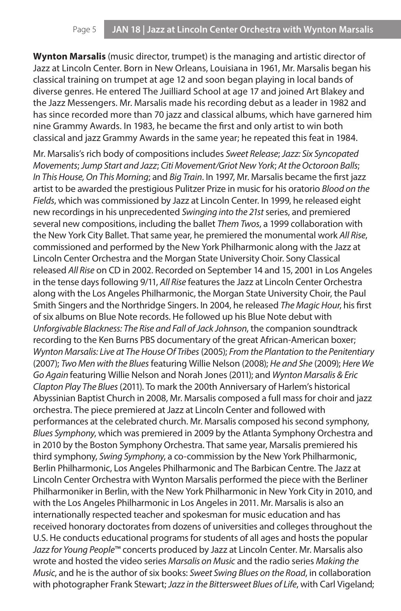**Wynton Marsalis** (music director, trumpet) is the managing and artistic director of Jazz at Lincoln Center. Born in New Orleans, Louisiana in 1961, Mr. Marsalis began his classical training on trumpet at age 12 and soon began playing in local bands of diverse genres. He entered The Juilliard School at age 17 and joined Art Blakey and the Jazz Messengers. Mr. Marsalis made his recording debut as a leader in 1982 and has since recorded more than 70 jazz and classical albums, which have garnered him nine Grammy Awards. In 1983, he became the first and only artist to win both classical and jazz Grammy Awards in the same year; he repeated this feat in 1984.

Mr. Marsalis's rich body of compositions includes *Sweet Release*; *Jazz: Six Syncopated Movements*; *Jump Start and Jazz*; *Citi Movement/Griot New York*; *At the Octoroon Balls*; *In This House, On This Morning*; and *Big Train*. In 1997, Mr. Marsalis became the first jazz artist to be awarded the prestigious Pulitzer Prize in music for his oratorio *Blood on the Fields*, which was commissioned by Jazz at Lincoln Center. In 1999, he released eight new recordings in his unprecedented *Swinging into the 21st* series, and premiered several new compositions, including the ballet *Them Twos*, a 1999 collaboration with the New York City Ballet. That same year, he premiered the monumental work *All Rise*, commissioned and performed by the New York Philharmonic along with the Jazz at Lincoln Center Orchestra and the Morgan State University Choir. Sony Classical released *All Rise* on CD in 2002. Recorded on September 14 and 15, 2001 in Los Angeles in the tense days following 9/11, *All Rise* features the Jazz at Lincoln Center Orchestra along with the Los Angeles Philharmonic, the Morgan State University Choir, the Paul Smith Singers and the Northridge Singers. In 2004, he released *The Magic Hour*, his first of six albums on Blue Note records. He followed up his Blue Note debut with *Unforgivable Blackness: The Rise and Fall of Jack Johnson*, the companion soundtrack recording to the Ken Burns PBS documentary of the great African-American boxer; *Wynton Marsalis: Live at The House Of Tribes* (2005); *From the Plantation to the Penitentiary* (2007); *Two Men with the Blues* featuring Willie Nelson (2008); *He and She* (2009); *Here We Go Again* featuring Willie Nelson and Norah Jones (2011); and *Wynton Marsalis & Eric Clapton Play The Blues* (2011). To mark the 200th Anniversary of Harlem's historical Abyssinian Baptist Church in 2008, Mr. Marsalis composed a full mass for choir and jazz orchestra. The piece premiered at Jazz at Lincoln Center and followed with performances at the celebrated church. Mr. Marsalis composed his second symphony, *Blues Symphony*, which was premiered in 2009 by the Atlanta Symphony Orchestra and in 2010 by the Boston Symphony Orchestra. That same year, Marsalis premiered his third symphony, *Swing Symphony*, a co-commission by the New York Philharmonic, Berlin Philharmonic, Los Angeles Philharmonic and The Barbican Centre. The Jazz at Lincoln Center Orchestra with Wynton Marsalis performed the piece with the Berliner Philharmoniker in Berlin, with the New York Philharmonic in New York City in 2010, and with the Los Angeles Philharmonic in Los Angeles in 2011. Mr. Marsalis is also an internationally respected teacher and spokesman for music education and has received honorary doctorates from dozens of universities and colleges throughout the U.S. He conducts educational programs for students of all ages and hosts the popular *Jazz for Young People*™ concerts produced by Jazz at Lincoln Center. Mr. Marsalis also wrote and hosted the video series *Marsalis on Music* and the radio series *Making the Music*, and he is the author of six books: *Sweet Swing Blues on the Road*, in collaboration with photographer Frank Stewart; *Jazz in the Bittersweet Blues of Life*, with Carl Vigeland;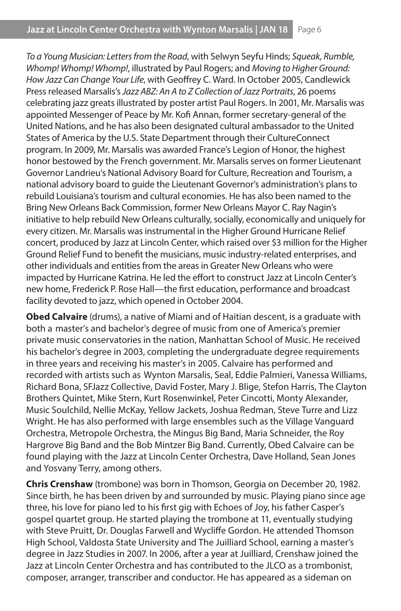*To a Young Musician: Letters from the Road*, with Selwyn Seyfu Hinds; *Squeak, Rumble, Whomp! Whomp! Whomp!*, illustrated by Paul Rogers; and *Moving to Higher Ground: How Jazz Can Change Your Life*, with Geoffrey C. Ward. In October 2005, Candlewick Press released Marsalis's *Jazz ABZ: An A to Z Collection of Jazz Portraits*, 26 poems celebrating jazz greats illustrated by poster artist Paul Rogers. In 2001, Mr. Marsalis was appointed Messenger of Peace by Mr. Kofi Annan, former secretary-general of the United Nations, and he has also been designated cultural ambassador to the United States of America by the U.S. State Department through their CultureConnect program. In 2009, Mr. Marsalis was awarded France's Legion of Honor, the highest honor bestowed by the French government. Mr. Marsalis serves on former Lieutenant Governor Landrieu's National Advisory Board for Culture, Recreation and Tourism, a national advisory board to guide the Lieutenant Governor's administration's plans to rebuild Louisiana's tourism and cultural economies. He has also been named to the Bring New Orleans Back Commission, former New Orleans Mayor C. Ray Nagin's initiative to help rebuild New Orleans culturally, socially, economically and uniquely for every citizen. Mr. Marsalis was instrumental in the Higher Ground Hurricane Relief concert, produced by Jazz at Lincoln Center, which raised over \$3 million for the Higher Ground Relief Fund to benefit the musicians, music industry-related enterprises, and other individuals and entities from the areas in Greater New Orleans who were impacted by Hurricane Katrina. He led the effort to construct Jazz at Lincoln Center's new home, Frederick P. Rose Hall—the first education, performance and broadcast facility devoted to jazz, which opened in October 2004.

**Obed Calvaire** (drums), a native of Miami and of Haitian descent, is a graduate with both a master's and bachelor's degree of music from one of America's premier private music conservatories in the nation, Manhattan School of Music. He received his bachelor's degree in 2003, completing the undergraduate degree requirements in three years and receiving his master's in 2005. Calvaire has performed and recorded with artists such as Wynton Marsalis, Seal, Eddie Palmieri, Vanessa Williams, Richard Bona, SFJazz Collective, David Foster, Mary J. Blige, Stefon Harris, The Clayton Brothers Quintet, Mike Stern, Kurt Rosenwinkel, Peter Cincotti, Monty Alexander, Music Soulchild, Nellie McKay, Yellow Jackets, Joshua Redman, Steve Turre and Lizz Wright. He has also performed with large ensembles such as the Village Vanguard Orchestra, Metropole Orchestra, the Mingus Big Band, Maria Schneider, the Roy Hargrove Big Band and the Bob Mintzer Big Band. Currently, Obed Calvaire can be found playing with the Jazz at Lincoln Center Orchestra, Dave Holland, Sean Jones and Yosvany Terry, among others.

**Chris Crenshaw** (trombone) was born in Thomson, Georgia on December 20, 1982. Since birth, he has been driven by and surrounded by music. Playing piano since age three, his love for piano led to his first gig with Echoes of Joy, his father Casper's gospel quartet group. He started playing the trombone at 11, eventually studying with Steve Pruitt, Dr. Douglas Farwell and Wycliffe Gordon. He attended Thomson High School, Valdosta State University and The Juilliard School, earning a master's degree in Jazz Studies in 2007. In 2006, after a year at Juilliard, Crenshaw joined the Jazz at Lincoln Center Orchestra and has contributed to the JLCO as a trombonist, composer, arranger, transcriber and conductor. He has appeared as a sideman on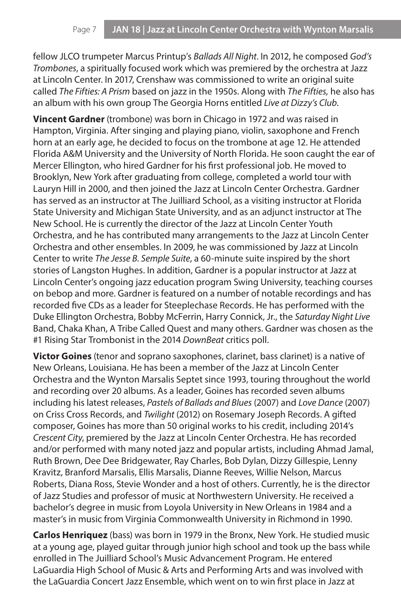fellow JLCO trumpeter Marcus Printup's *Ballads All Night*. In 2012, he composed *God's Trombones*, a spiritually focused work which was premiered by the orchestra at Jazz at Lincoln Center. In 2017, Crenshaw was commissioned to write an original suite called *The Fifties: A Prism* based on jazz in the 1950s. Along with *The Fifties,* he also has an album with his own group The Georgia Horns entitled *Live at Dizzy's Club*.

**Vincent Gardner** (trombone) was born in Chicago in 1972 and was raised in Hampton, Virginia. After singing and playing piano, violin, saxophone and French horn at an early age, he decided to focus on the trombone at age 12. He attended Florida A&M University and the University of North Florida. He soon caught the ear of Mercer Ellington, who hired Gardner for his first professional job. He moved to Brooklyn, New York after graduating from college, completed a world tour with Lauryn Hill in 2000, and then joined the Jazz at Lincoln Center Orchestra. Gardner has served as an instructor at The Juilliard School, as a visiting instructor at Florida State University and Michigan State University, and as an adjunct instructor at The New School. He is currently the director of the Jazz at Lincoln Center Youth Orchestra, and he has contributed many arrangements to the Jazz at Lincoln Center Orchestra and other ensembles. In 2009, he was commissioned by Jazz at Lincoln Center to write *The Jesse B. Semple Suite*, a 60-minute suite inspired by the short stories of Langston Hughes. In addition, Gardner is a popular instructor at Jazz at Lincoln Center's ongoing jazz education program Swing University, teaching courses on bebop and more. Gardner is featured on a number of notable recordings and has recorded five CDs as a leader for Steeplechase Records. He has performed with the Duke Ellington Orchestra, Bobby McFerrin, Harry Connick, Jr., the *Saturday Night Live* Band, Chaka Khan, A Tribe Called Quest and many others. Gardner was chosen as the #1 Rising Star Trombonist in the 2014 *DownBeat* critics poll.

**Victor Goines** (tenor and soprano saxophones, clarinet, bass clarinet) is a native of New Orleans, Louisiana. He has been a member of the Jazz at Lincoln Center Orchestra and the Wynton Marsalis Septet since 1993, touring throughout the world and recording over 20 albums. As a leader, Goines has recorded seven albums including his latest releases, *Pastels of Ballads and Blues* (2007) and *Love Dance* (2007) on Criss Cross Records, and *Twilight* (2012) on Rosemary Joseph Records. A gifted composer, Goines has more than 50 original works to his credit, including 2014's *Crescent City*, premiered by the Jazz at Lincoln Center Orchestra. He has recorded and/or performed with many noted jazz and popular artists, including Ahmad Jamal, Ruth Brown, Dee Dee Bridgewater, Ray Charles, Bob Dylan, Dizzy Gillespie, Lenny Kravitz, Branford Marsalis, Ellis Marsalis, Dianne Reeves, Willie Nelson, Marcus Roberts, Diana Ross, Stevie Wonder and a host of others. Currently, he is the director of Jazz Studies and professor of music at Northwestern University. He received a bachelor's degree in music from Loyola University in New Orleans in 1984 and a master's in music from Virginia Commonwealth University in Richmond in 1990.

**Carlos Henriquez** (bass) was born in 1979 in the Bronx, New York. He studied music at a young age, played guitar through junior high school and took up the bass while enrolled in The Juilliard School's Music Advancement Program. He entered LaGuardia High School of Music & Arts and Performing Arts and was involved with the LaGuardia Concert Jazz Ensemble, which went on to win first place in Jazz at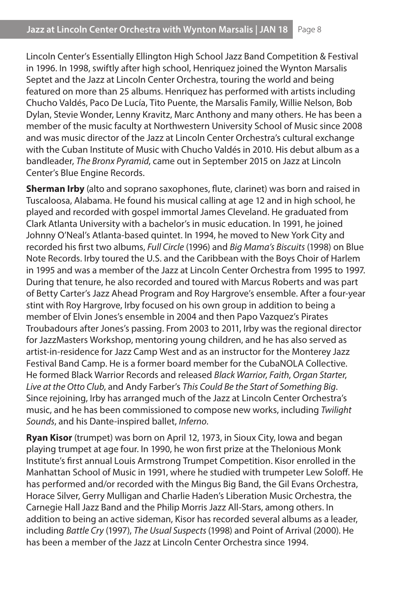Lincoln Center's Essentially Ellington High School Jazz Band Competition & Festival in 1996. In 1998, swiftly after high school, Henriquez joined the Wynton Marsalis Septet and the Jazz at Lincoln Center Orchestra, touring the world and being featured on more than 25 albums. Henriquez has performed with artists including Chucho Valdés, Paco De Lucía, Tito Puente, the Marsalis Family, Willie Nelson, Bob Dylan, Stevie Wonder, Lenny Kravitz, Marc Anthony and many others. He has been a member of the music faculty at Northwestern University School of Music since 2008 and was music director of the Jazz at Lincoln Center Orchestra's cultural exchange with the Cuban Institute of Music with Chucho Valdés in 2010. His debut album as a bandleader, *The Bronx Pyramid*, came out in September 2015 on Jazz at Lincoln Center's Blue Engine Records.

**Sherman Irby** (alto and soprano saxophones, flute, clarinet) was born and raised in Tuscaloosa, Alabama. He found his musical calling at age 12 and in high school, he played and recorded with gospel immortal James Cleveland. He graduated from Clark Atlanta University with a bachelor's in music education. In 1991, he joined Johnny O'Neal's Atlanta-based quintet. In 1994, he moved to New York City and recorded his first two albums, *Full Circle* (1996) and *Big Mama's Biscuits* (1998) on Blue Note Records. Irby toured the U.S. and the Caribbean with the Boys Choir of Harlem in 1995 and was a member of the Jazz at Lincoln Center Orchestra from 1995 to 1997. During that tenure, he also recorded and toured with Marcus Roberts and was part of Betty Carter's Jazz Ahead Program and Roy Hargrove's ensemble. After a four-year stint with Roy Hargrove, Irby focused on his own group in addition to being a member of Elvin Jones's ensemble in 2004 and then Papo Vazquez's Pirates Troubadours after Jones's passing. From 2003 to 2011, Irby was the regional director for JazzMasters Workshop, mentoring young children, and he has also served as artist-in-residence for Jazz Camp West and as an instructor for the Monterey Jazz Festival Band Camp. He is a former board member for the CubaNOLA Collective. He formed Black Warrior Records and released *Black Warrior*, *Faith*, *Organ Starter*, *Live at the Otto Club*, and Andy Farber's *This Could Be the Start of Something Big*. Since rejoining, Irby has arranged much of the Jazz at Lincoln Center Orchestra's music, and he has been commissioned to compose new works, including *Twilight Sounds*, and his Dante-inspired ballet, *Inferno*.

**Ryan Kisor** (trumpet) was born on April 12, 1973, in Sioux City, Iowa and began playing trumpet at age four. In 1990, he won first prize at the Thelonious Monk Institute's first annual Louis Armstrong Trumpet Competition. Kisor enrolled in the Manhattan School of Music in 1991, where he studied with trumpeter Lew Soloff. He has performed and/or recorded with the Mingus Big Band, the Gil Evans Orchestra, Horace Silver, Gerry Mulligan and Charlie Haden's Liberation Music Orchestra, the Carnegie Hall Jazz Band and the Philip Morris Jazz All-Stars, among others. In addition to being an active sideman, Kisor has recorded several albums as a leader, including *Battle Cry* (1997), *The Usual Suspects* (1998) and Point of Arrival (2000). He has been a member of the Jazz at Lincoln Center Orchestra since 1994.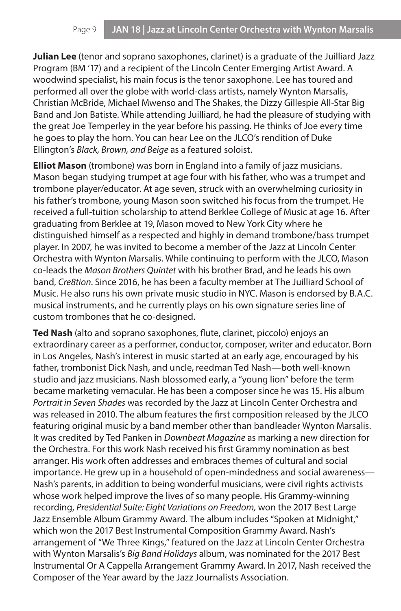**Julian Lee** (tenor and soprano saxophones, clarinet) is a graduate of the Juilliard Jazz Program (BM '17) and a recipient of the Lincoln Center Emerging Artist Award. A woodwind specialist, his main focus is the tenor saxophone. Lee has toured and performed all over the globe with world-class artists, namely Wynton Marsalis, Christian McBride, Michael Mwenso and The Shakes, the Dizzy Gillespie All-Star Big Band and Jon Batiste. While attending Juilliard, he had the pleasure of studying with the great Joe Temperley in the year before his passing. He thinks of Joe every time he goes to play the horn. You can hear Lee on the JLCO's rendition of Duke Ellington's *Black, Brown, and Beige* as a featured soloist.

**Elliot Mason** (trombone) was born in England into a family of jazz musicians. Mason began studying trumpet at age four with his father, who was a trumpet and trombone player/educator. At age seven, struck with an overwhelming curiosity in his father's trombone, young Mason soon switched his focus from the trumpet. He received a full-tuition scholarship to attend Berklee College of Music at age 16. After graduating from Berklee at 19, Mason moved to New York City where he distinguished himself as a respected and highly in demand trombone/bass trumpet player. In 2007, he was invited to become a member of the Jazz at Lincoln Center Orchestra with Wynton Marsalis. While continuing to perform with the JLCO, Mason co-leads the *Mason Brothers Quintet* with his brother Brad, and he leads his own band, *Cre8tion*. Since 2016, he has been a faculty member at The Juilliard School of Music. He also runs his own private music studio in NYC. Mason is endorsed by B.A.C. musical instruments, and he currently plays on his own signature series line of custom trombones that he co-designed.

**Ted Nash** (alto and soprano saxophones, flute, clarinet, piccolo) enjoys an extraordinary career as a performer, conductor, composer, writer and educator. Born in Los Angeles, Nash's interest in music started at an early age, encouraged by his father, trombonist Dick Nash, and uncle, reedman Ted Nash—both well-known studio and jazz musicians. Nash blossomed early, a "young lion" before the term became marketing vernacular. He has been a composer since he was 15. His album *Portrait in Seven Shades* was recorded by the Jazz at Lincoln Center Orchestra and was released in 2010. The album features the first composition released by the JLCO featuring original music by a band member other than bandleader Wynton Marsalis. It was credited by Ted Panken in *Downbeat Magazine* as marking a new direction for the Orchestra. For this work Nash received his first Grammy nomination as best arranger. His work often addresses and embraces themes of cultural and social importance. He grew up in a household of open-mindedness and social awareness— Nash's parents, in addition to being wonderful musicians, were civil rights activists whose work helped improve the lives of so many people. His Grammy-winning recording, *Presidential Suite: Eight Variations on Freedom,* won the 2017 Best Large Jazz Ensemble Album Grammy Award. The album includes "Spoken at Midnight," which won the 2017 Best Instrumental Composition Grammy Award. Nash's arrangement of "We Three Kings," featured on the Jazz at Lincoln Center Orchestra with Wynton Marsalis's *Big Band Holidays* album, was nominated for the 2017 Best Instrumental Or A Cappella Arrangement Grammy Award. In 2017, Nash received the Composer of the Year award by the Jazz Journalists Association.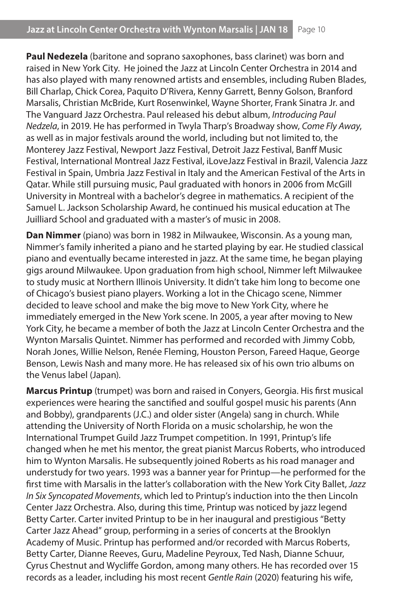**Paul Nedezela** (baritone and soprano saxophones, bass clarinet) was born and raised in New York City. He joined the Jazz at Lincoln Center Orchestra in 2014 and has also played with many renowned artists and ensembles, including Ruben Blades, Bill Charlap, Chick Corea, Paquito D'Rivera, Kenny Garrett, Benny Golson, Branford Marsalis, Christian McBride, Kurt Rosenwinkel, Wayne Shorter, Frank Sinatra Jr. and The Vanguard Jazz Orchestra. Paul released his debut album, *Introducing Paul Nedzela*, in 2019. He has performed in Twyla Tharp's Broadway show, *Come Fly Away*, as well as in major festivals around the world, including but not limited to, the Monterey Jazz Festival, Newport Jazz Festival, Detroit Jazz Festival, Banff Music Festival, International Montreal Jazz Festival, iLoveJazz Festival in Brazil, Valencia Jazz Festival in Spain, Umbria Jazz Festival in Italy and the American Festival of the Arts in Qatar. While still pursuing music, Paul graduated with honors in 2006 from McGill University in Montreal with a bachelor's degree in mathematics. A recipient of the Samuel L. Jackson Scholarship Award, he continued his musical education at The Juilliard School and graduated with a master's of music in 2008.

**Dan Nimmer** (piano) was born in 1982 in Milwaukee, Wisconsin. As a young man, Nimmer's family inherited a piano and he started playing by ear. He studied classical piano and eventually became interested in jazz. At the same time, he began playing gigs around Milwaukee. Upon graduation from high school, Nimmer left Milwaukee to study music at Northern Illinois University. It didn't take him long to become one of Chicago's busiest piano players. Working a lot in the Chicago scene, Nimmer decided to leave school and make the big move to New York City, where he immediately emerged in the New York scene. In 2005, a year after moving to New York City, he became a member of both the Jazz at Lincoln Center Orchestra and the Wynton Marsalis Quintet. Nimmer has performed and recorded with Jimmy Cobb, Norah Jones, Willie Nelson, Renée Fleming, Houston Person, Fareed Haque, George Benson, Lewis Nash and many more. He has released six of his own trio albums on the Venus label (Japan).

**Marcus Printup** (trumpet) was born and raised in Conyers, Georgia. His first musical experiences were hearing the sanctified and soulful gospel music his parents (Ann and Bobby), grandparents (J.C.) and older sister (Angela) sang in church. While attending the University of North Florida on a music scholarship, he won the International Trumpet Guild Jazz Trumpet competition. In 1991, Printup's life changed when he met his mentor, the great pianist Marcus Roberts, who introduced him to Wynton Marsalis. He subsequently joined Roberts as his road manager and understudy for two years. 1993 was a banner year for Printup—he performed for the first time with Marsalis in the latter's collaboration with the New York City Ballet, *Jazz In Six Syncopated Movements*, which led to Printup's induction into the then Lincoln Center Jazz Orchestra. Also, during this time, Printup was noticed by jazz legend Betty Carter. Carter invited Printup to be in her inaugural and prestigious "Betty Carter Jazz Ahead" group, performing in a series of concerts at the Brooklyn Academy of Music. Printup has performed and/or recorded with Marcus Roberts, Betty Carter, Dianne Reeves, Guru, Madeline Peyroux, Ted Nash, Dianne Schuur, Cyrus Chestnut and Wycliffe Gordon, among many others. He has recorded over 15 records as a leader, including his most recent *Gentle Rain* (2020) featuring his wife,